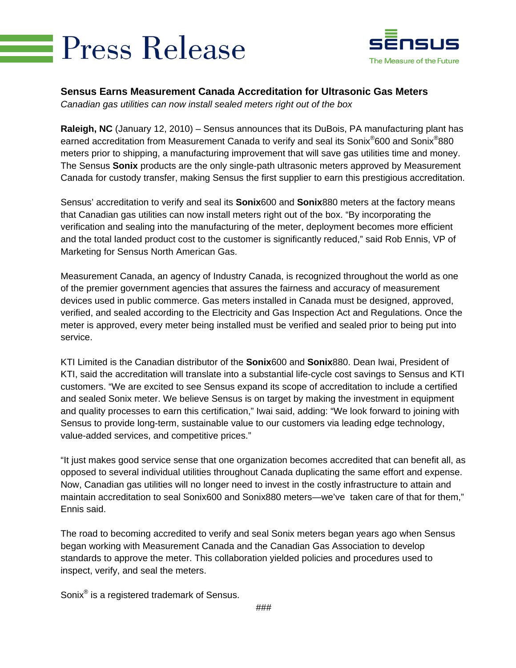## **Press Release**



## **Sensus Earns Measurement Canada Accreditation for Ultrasonic Gas Meters**

*Canadian gas utilities can now install sealed meters right out of the box*

**Raleigh, NC** (January 12, 2010) – Sensus announces that its DuBois, PA manufacturing plant has earned accreditation from Measurement Canada to verify and seal its Sonix®600 and Sonix®880 meters prior to shipping, a manufacturing improvement that will save gas utilities time and money. The Sensus **Sonix** products are the only single-path ultrasonic meters approved by Measurement Canada for custody transfer, making Sensus the first supplier to earn this prestigious accreditation.

Sensus' accreditation to verify and seal its **Sonix**600 and **Sonix**880 meters at the factory means that Canadian gas utilities can now install meters right out of the box. "By incorporating the verification and sealing into the manufacturing of the meter, deployment becomes more efficient and the total landed product cost to the customer is significantly reduced," said Rob Ennis, VP of Marketing for Sensus North American Gas.

Measurement Canada, an agency of Industry Canada, is recognized throughout the world as one of the premier government agencies that assures the fairness and accuracy of measurement devices used in public commerce. Gas meters installed in Canada must be designed, approved, verified, and sealed according to the Electricity and Gas Inspection Act and Regulations. Once the meter is approved, every meter being installed must be verified and sealed prior to being put into service.

KTI Limited is the Canadian distributor of the **Sonix**600 and **Sonix**880. Dean Iwai, President of KTI, said the accreditation will translate into a substantial life-cycle cost savings to Sensus and KTI customers. "We are excited to see Sensus expand its scope of accreditation to include a certified and sealed Sonix meter. We believe Sensus is on target by making the investment in equipment and quality processes to earn this certification," Iwai said, adding: "We look forward to joining with Sensus to provide long-term, sustainable value to our customers via leading edge technology, value-added services, and competitive prices."

"It just makes good service sense that one organization becomes accredited that can benefit all, as opposed to several individual utilities throughout Canada duplicating the same effort and expense. Now, Canadian gas utilities will no longer need to invest in the costly infrastructure to attain and maintain accreditation to seal Sonix600 and Sonix880 meters—we've taken care of that for them," Ennis said.

The road to becoming accredited to verify and seal Sonix meters began years ago when Sensus began working with Measurement Canada and the Canadian Gas Association to develop standards to approve the meter. This collaboration yielded policies and procedures used to inspect, verify, and seal the meters.

Sonix® is a registered trademark of Sensus.